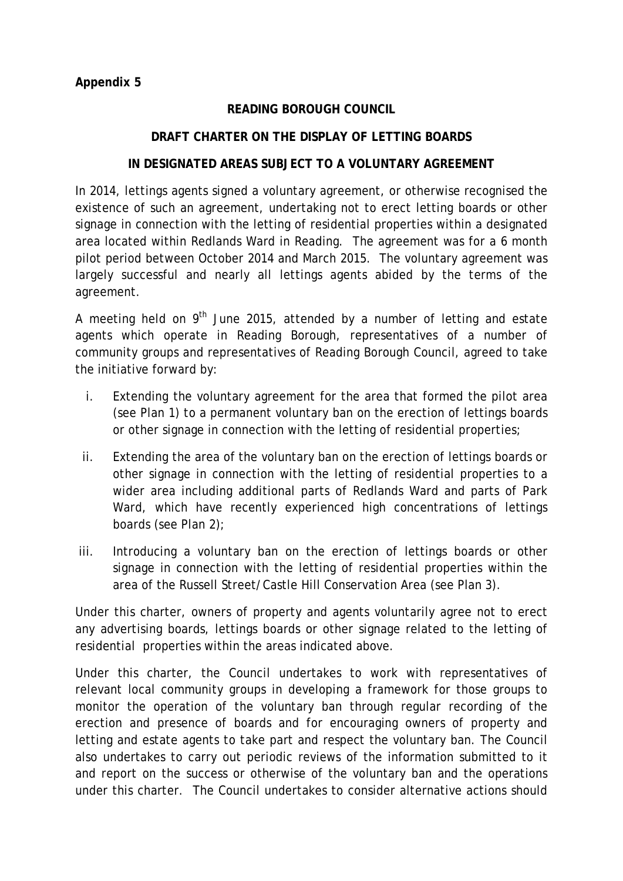## **READING BOROUGH COUNCIL**

## **DRAFT CHARTER ON THE DISPLAY OF LETTING BOARDS**

## **IN DESIGNATED AREAS SUBJECT TO A VOLUNTARY AGREEMENT**

In 2014, lettings agents signed a voluntary agreement, or otherwise recognised the existence of such an agreement, undertaking not to erect letting boards or other signage in connection with the letting of residential properties within a designated area located within Redlands Ward in Reading. The agreement was for a 6 month pilot period between October 2014 and March 2015. The voluntary agreement was largely successful and nearly all lettings agents abided by the terms of the agreement.

A meeting held on  $9<sup>th</sup>$  June 2015, attended by a number of letting and estate agents which operate in Reading Borough, representatives of a number of community groups and representatives of Reading Borough Council, agreed to take the initiative forward by:

- i. Extending the voluntary agreement for the area that formed the pilot area (see Plan 1) to a permanent voluntary ban on the erection of lettings boards or other signage in connection with the letting of residential properties;
- ii. Extending the area of the voluntary ban on the erection of lettings boards or other signage in connection with the letting of residential properties to a wider area including additional parts of Redlands Ward and parts of Park Ward, which have recently experienced high concentrations of lettings boards (see Plan 2);
- iii. Introducing a voluntary ban on the erection of lettings boards or other signage in connection with the letting of residential properties within the area of the Russell Street/Castle Hill Conservation Area (see Plan 3).

Under this charter, owners of property and agents voluntarily agree not to erect any advertising boards, lettings boards or other signage related to the letting of residential properties within the areas indicated above.

Under this charter, the Council undertakes to work with representatives of relevant local community groups in developing a framework for those groups to monitor the operation of the voluntary ban through regular recording of the erection and presence of boards and for encouraging owners of property and letting and estate agents to take part and respect the voluntary ban. The Council also undertakes to carry out periodic reviews of the information submitted to it and report on the success or otherwise of the voluntary ban and the operations under this charter. The Council undertakes to consider alternative actions should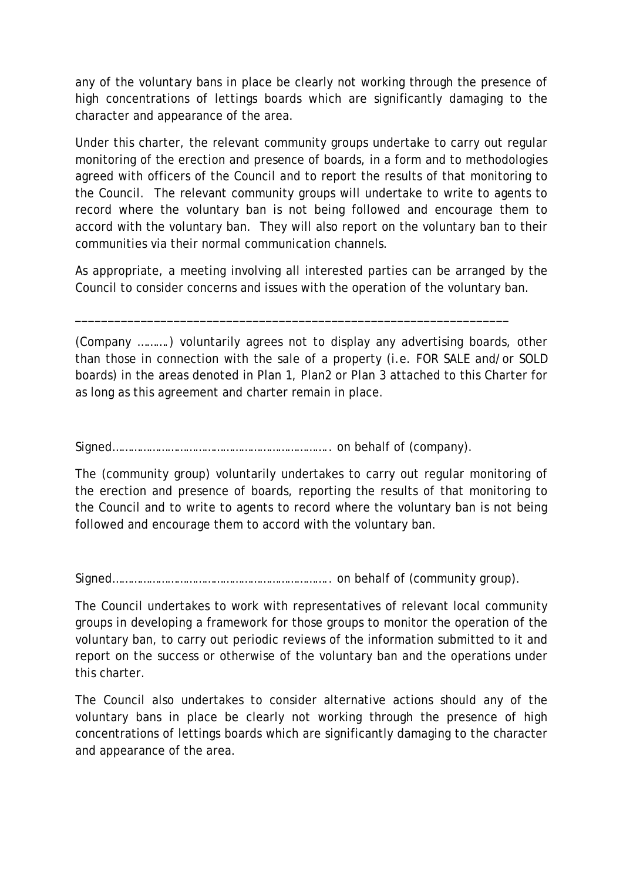any of the voluntary bans in place be clearly not working through the presence of high concentrations of lettings boards which are significantly damaging to the character and appearance of the area.

Under this charter, the relevant community groups undertake to carry out regular monitoring of the erection and presence of boards, in a form and to methodologies agreed with officers of the Council and to report the results of that monitoring to the Council. The relevant community groups will undertake to write to agents to record where the voluntary ban is not being followed and encourage them to accord with the voluntary ban. They will also report on the voluntary ban to their communities via their normal communication channels.

As appropriate, a meeting involving all interested parties can be arranged by the Council to consider concerns and issues with the operation of the voluntary ban.

\_\_\_\_\_\_\_\_\_\_\_\_\_\_\_\_\_\_\_\_\_\_\_\_\_\_\_\_\_\_\_\_\_\_\_\_\_\_\_\_\_\_\_\_\_\_\_\_\_\_\_\_\_\_\_\_\_\_\_\_\_\_\_\_\_\_

(Company ……….) voluntarily agrees not to display any advertising boards, other than those in connection with the sale of a property (i.e. FOR SALE and/or SOLD boards) in the areas denoted in Plan 1, Plan2 or Plan 3 attached to this Charter for as long as this agreement and charter remain in place.

Signed…………………………………………………………….. on behalf of (company).

The (community group) voluntarily undertakes to carry out regular monitoring of the erection and presence of boards, reporting the results of that monitoring to the Council and to write to agents to record where the voluntary ban is not being followed and encourage them to accord with the voluntary ban.

Signed…………………………………………………………….. on behalf of (community group).

The Council undertakes to work with representatives of relevant local community groups in developing a framework for those groups to monitor the operation of the voluntary ban, to carry out periodic reviews of the information submitted to it and report on the success or otherwise of the voluntary ban and the operations under this charter.

The Council also undertakes to consider alternative actions should any of the voluntary bans in place be clearly not working through the presence of high concentrations of lettings boards which are significantly damaging to the character and appearance of the area.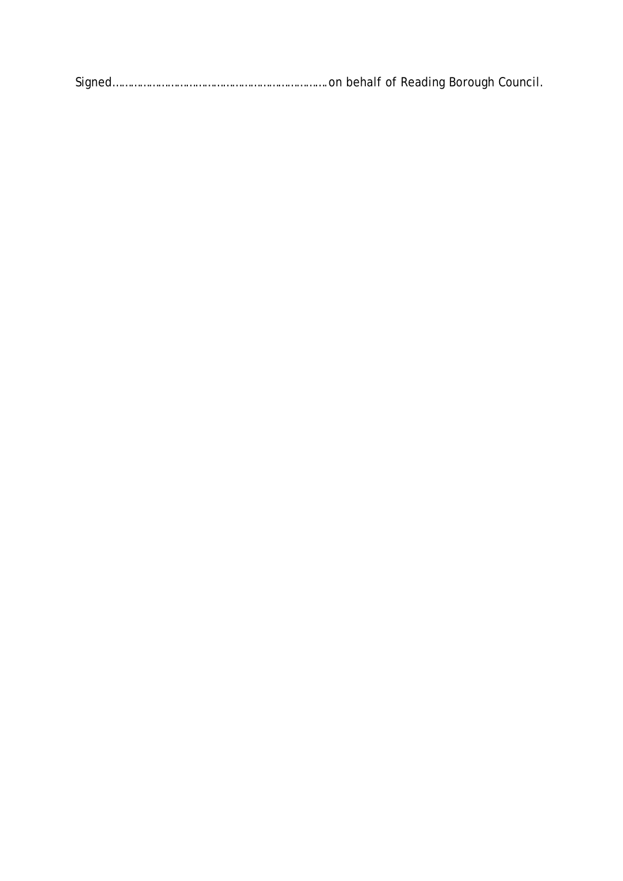Signed…………………………………………………………….on behalf of Reading Borough Council.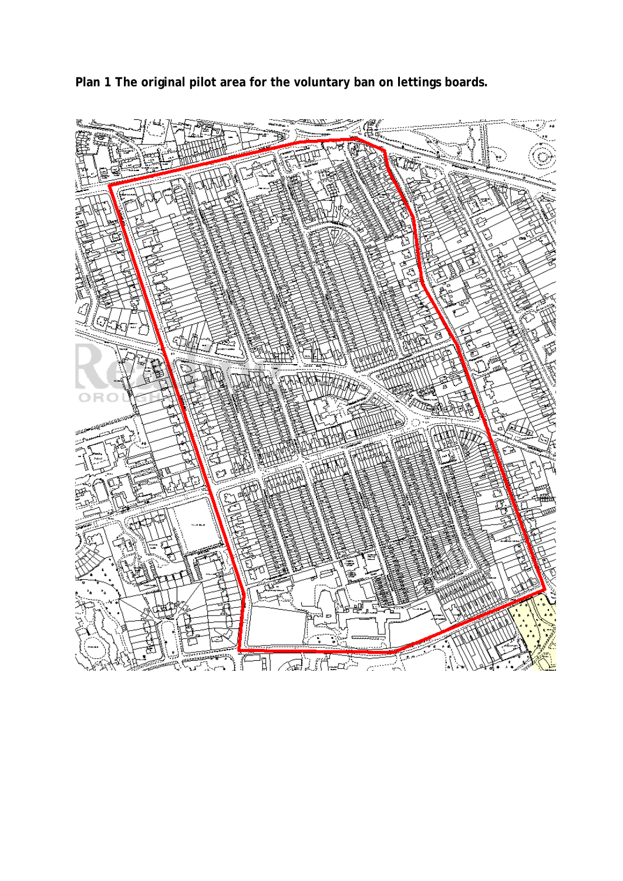**Plan 1 The original pilot area for the voluntary ban on lettings boards.**

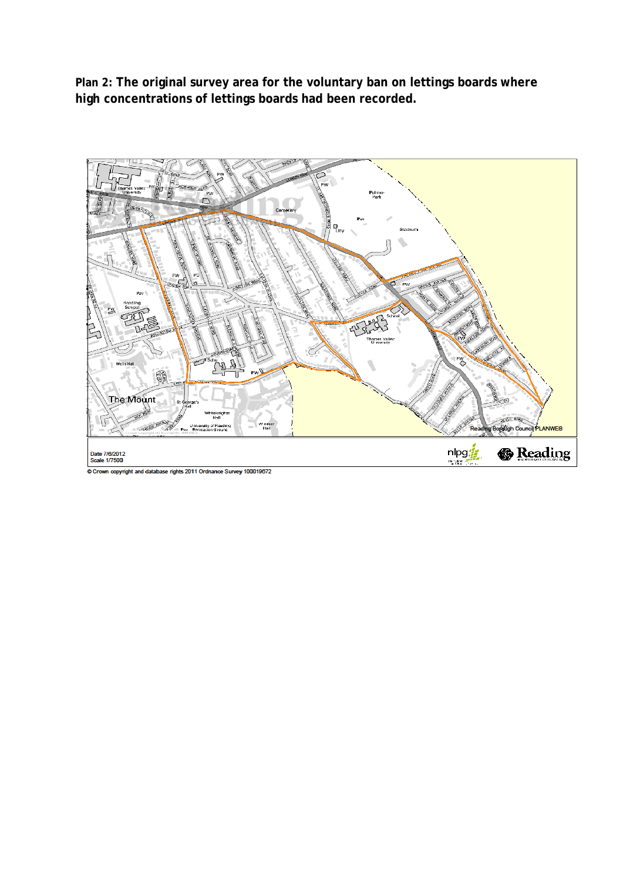**Plan 2: The original survey area for the voluntary ban on lettings boards where high concentrations of lettings boards had been recorded.**



Crown copyright and database rights 2011 Ordnance Survey 100019672